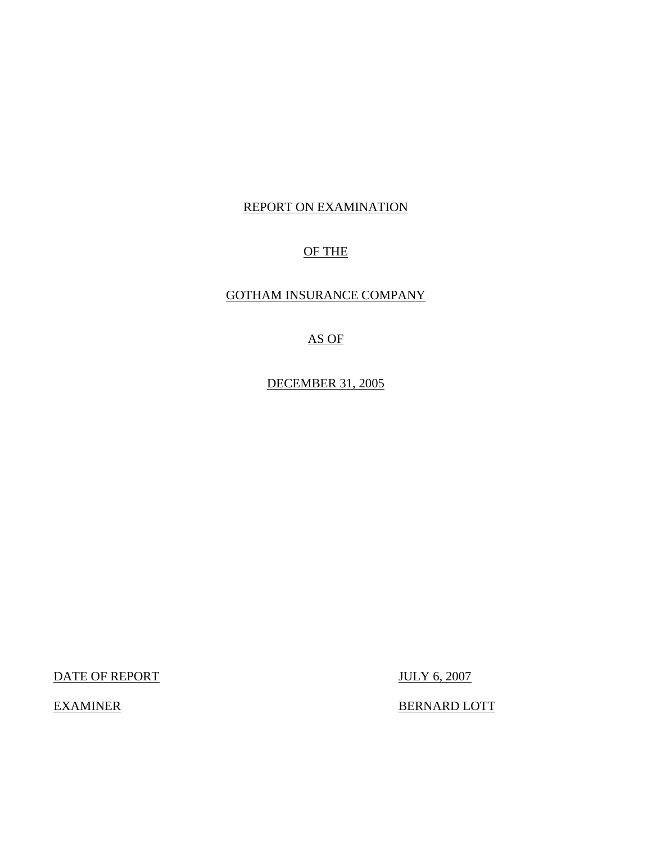## REPORT ON EXAMINATION

## OF THE

## GOTHAM INSURANCE COMPANY

## AS OF

DECEMBER 31, 2005

DATE OF REPORT JULY 6, 2007

EXAMINER BERNARD LOTT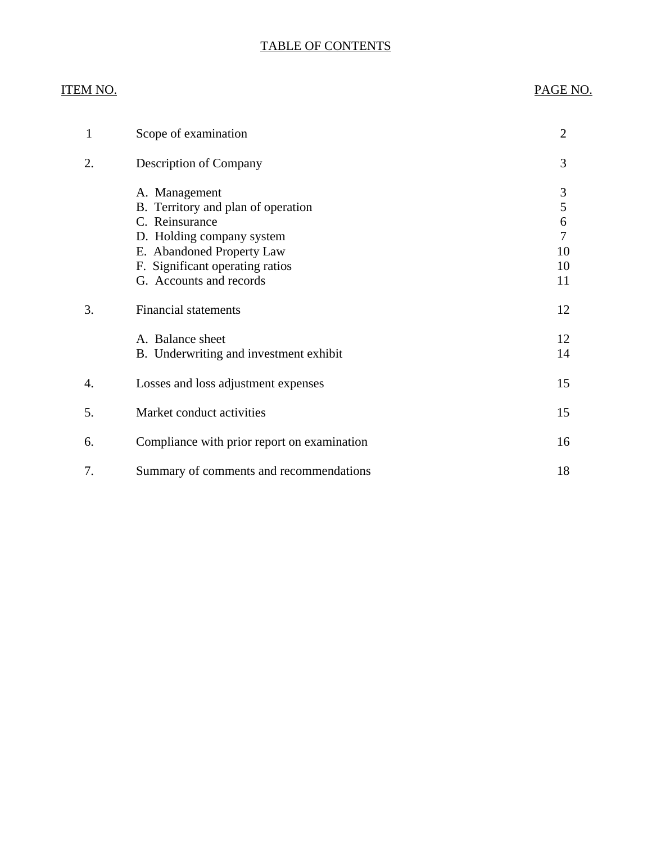## TABLE OF CONTENTS

## ITEM NO. PAGE NO.

| 1  | Scope of examination                                                                                                                                                                          | $\overline{2}$                     |
|----|-----------------------------------------------------------------------------------------------------------------------------------------------------------------------------------------------|------------------------------------|
| 2. | <b>Description of Company</b>                                                                                                                                                                 | 3                                  |
|    | A. Management<br>B. Territory and plan of operation<br>C. Reinsurance<br>D. Holding company system<br>E. Abandoned Property Law<br>F. Significant operating ratios<br>G. Accounts and records | 3<br>5<br>6<br>7<br>10<br>10<br>11 |
| 3. | <b>Financial statements</b>                                                                                                                                                                   | 12                                 |
|    | A. Balance sheet<br>B. Underwriting and investment exhibit                                                                                                                                    | 12<br>14                           |
| 4. | Losses and loss adjustment expenses                                                                                                                                                           | 15                                 |
| 5. | Market conduct activities                                                                                                                                                                     | 15                                 |
| 6. | Compliance with prior report on examination                                                                                                                                                   | 16                                 |
| 7. | Summary of comments and recommendations                                                                                                                                                       | 18                                 |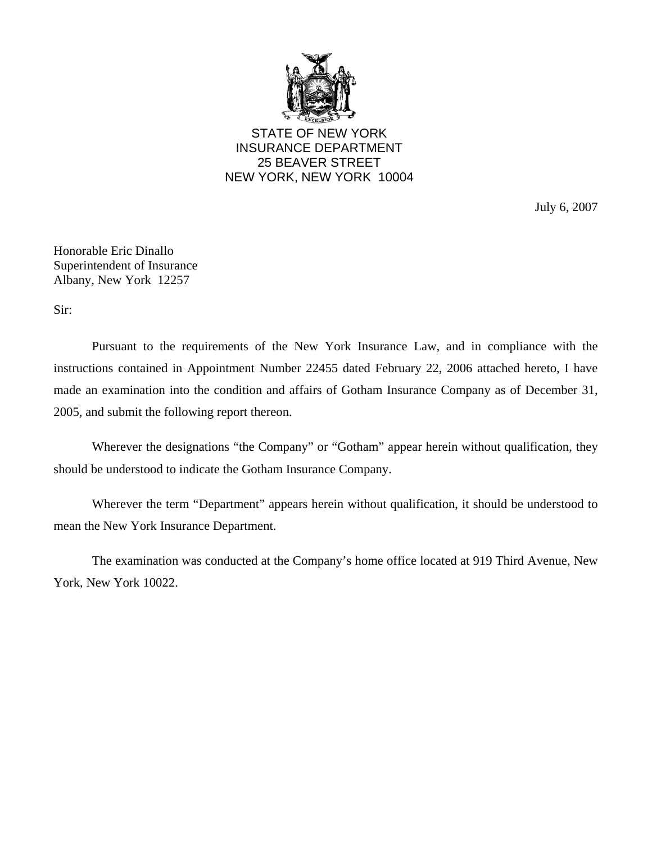

STATE OF NEW YORK INSURANCE DEPARTMENT 25 BEAVER STREET NEW YORK, NEW YORK 10004

July 6, 2007

Honorable Eric Dinallo Superintendent of Insurance Albany, New York 12257

Sir:

Pursuant to the requirements of the New York Insurance Law, and in compliance with the instructions contained in Appointment Number 22455 dated February 22, 2006 attached hereto, I have made an examination into the condition and affairs of Gotham Insurance Company as of December 31, 2005, and submit the following report thereon.

Wherever the designations "the Company" or "Gotham" appear herein without qualification, they should be understood to indicate the Gotham Insurance Company.

Wherever the term "Department" appears herein without qualification, it should be understood to mean the New York Insurance Department.

The examination was conducted at the Company's home office located at 919 Third Avenue, New York, New York 10022.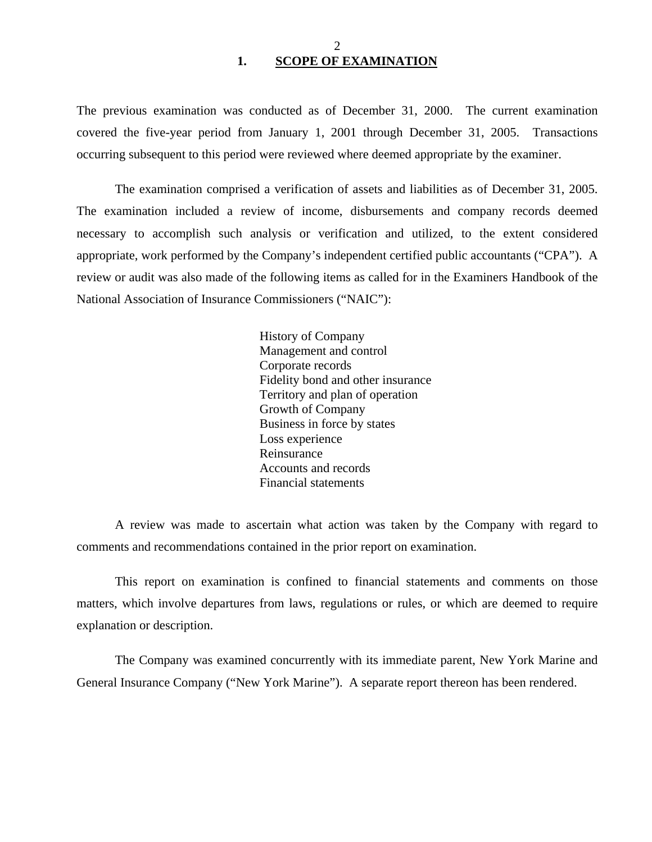#### $\mathcal{D}_{\mathcal{L}}$ **1. SCOPE OF EXAMINATION**

<span id="page-3-0"></span>The previous examination was conducted as of December 31, 2000. The current examination covered the five-year period from January 1, 2001 through December 31, 2005. Transactions occurring subsequent to this period were reviewed where deemed appropriate by the examiner.

The examination comprised a verification of assets and liabilities as of December 31, 2005. The examination included a review of income, disbursements and company records deemed necessary to accomplish such analysis or verification and utilized, to the extent considered appropriate, work performed by the Company's independent certified public accountants ("CPA"). A review or audit was also made of the following items as called for in the Examiners Handbook of the National Association of Insurance Commissioners ("NAIC"):

> History of Company Management and control Corporate records Fidelity bond and other insurance Territory and plan of operation Growth of Company Business in force by states Loss experience Reinsurance Accounts and records Financial statements

A review was made to ascertain what action was taken by the Company with regard to comments and recommendations contained in the prior report on examination.

This report on examination is confined to financial statements and comments on those matters, which involve departures from laws, regulations or rules, or which are deemed to require explanation or description.

The Company was examined concurrently with its immediate parent, New York Marine and General Insurance Company ("New York Marine"). A separate report thereon has been rendered.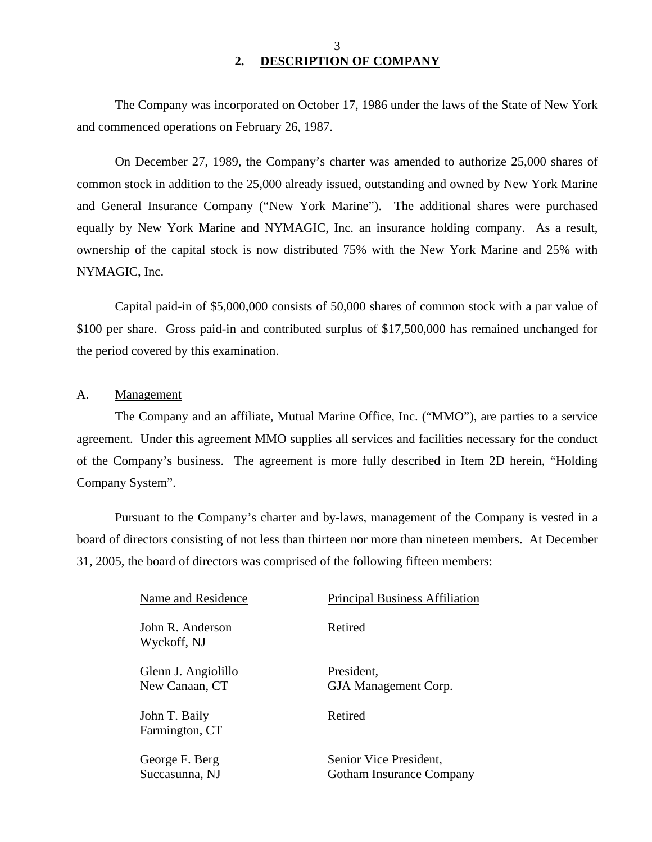## 3 **2. DESCRIPTION OF COMPANY**

The Company was incorporated on October 17, 1986 under the laws of the State of New York and commenced operations on February 26, 1987.

On December 27, 1989, the Company's charter was amended to authorize 25,000 shares of common stock in addition to the 25,000 already issued, outstanding and owned by New York Marine and General Insurance Company ("New York Marine"). The additional shares were purchased equally by New York Marine and NYMAGIC, Inc. an insurance holding company. As a result, ownership of the capital stock is now distributed 75% with the New York Marine and 25% with NYMAGIC, Inc.

Capital paid-in of \$5,000,000 consists of 50,000 shares of common stock with a par value of \$100 per share. Gross paid-in and contributed surplus of \$17,500,000 has remained unchanged for the period covered by this examination.

#### A. Management

The Company and an affiliate, Mutual Marine Office, Inc. ("MMO"), are parties to a service agreement. Under this agreement MMO supplies all services and facilities necessary for the conduct of the Company's business. The agreement is more fully described in Item 2D herein, "Holding Company System".

Pursuant to the Company's charter and by-laws, management of the Company is vested in a board of directors consisting of not less than thirteen nor more than nineteen members. At December 31, 2005, the board of directors was comprised of the following fifteen members:

| Name and Residence                    | <b>Principal Business Affiliation</b>                     |
|---------------------------------------|-----------------------------------------------------------|
| John R. Anderson<br>Wyckoff, NJ       | Retired                                                   |
| Glenn J. Angiolillo<br>New Canaan, CT | President.<br>GJA Management Corp.                        |
| John T. Baily<br>Farmington, CT       | Retired                                                   |
| George F. Berg<br>Succasunna, NJ      | Senior Vice President,<br><b>Gotham Insurance Company</b> |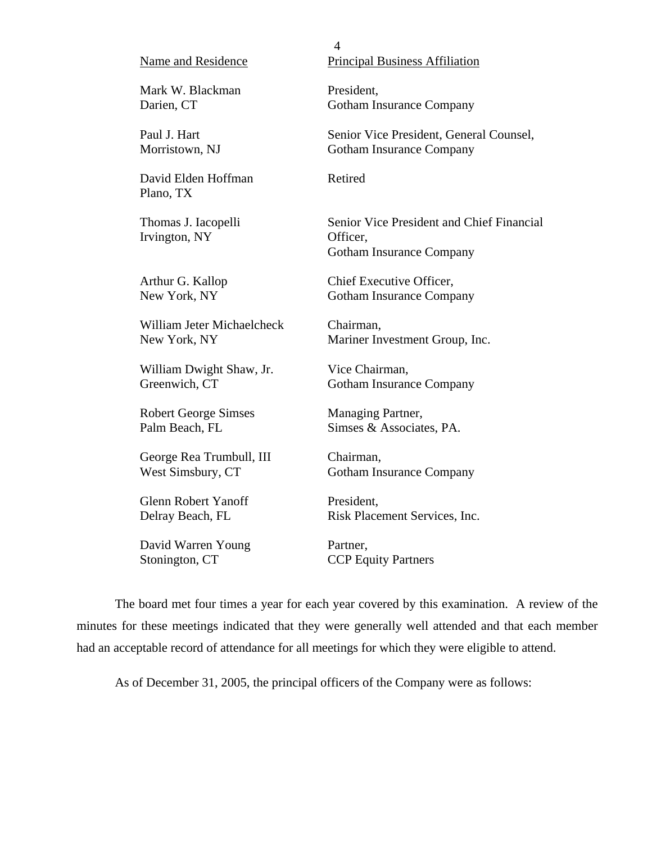#### Name and Residence

Mark W. Blackman Darien, CT

Paul J. Hart Morristown, NJ

David Elden Hoffman Plano, TX

Thomas J. Iacopelli Irvington, NY

Arthur G. Kallop New York, NY

William Jeter Michaelcheck New York, NY

William Dwight Shaw, Jr. Greenwich, CT

Robert George Simses Palm Beach, FL

George Rea Trumbull, III West Simsbury, CT

Glenn Robert Yanoff Delray Beach, FL

David Warren Young Stonington, CT

4

Principal Business Affiliation

President, Gotham Insurance Company

Senior Vice President, General Counsel, Gotham Insurance Company

Retired

Senior Vice President and Chief Financial Officer, Gotham Insurance Company

Chief Executive Officer, Gotham Insurance Company

Chairman, Mariner Investment Group, Inc.

Vice Chairman, Gotham Insurance Company

Managing Partner, Simses & Associates, PA.

Chairman, Gotham Insurance Company

President, Risk Placement Services, Inc.

Partner, CCP Equity Partners

The board met four times a year for each year covered by this examination. A review of the minutes for these meetings indicated that they were generally well attended and that each member had an acceptable record of attendance for all meetings for which they were eligible to attend.

As of December 31, 2005, the principal officers of the Company were as follows: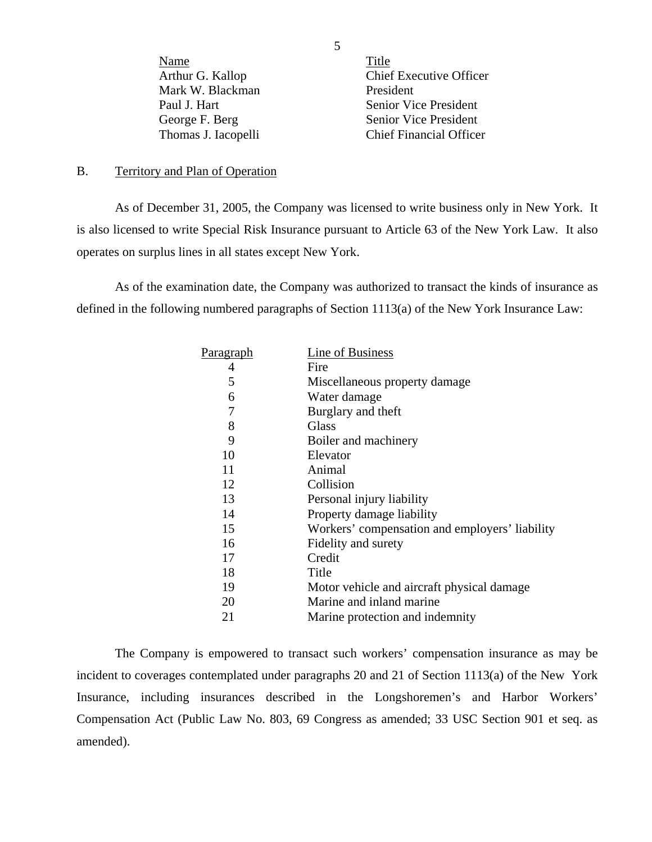| Name                |
|---------------------|
| Arthur G. Kallop    |
| Mark W. Blackman    |
| Paul J. Hart        |
| George F. Berg      |
| Thomas J. Iacopelli |

Title Chief Executive Officer President Senior Vice President Senior Vice President Chief Financial Officer

#### B. Territory and Plan of Operation

As of December 31, 2005, the Company was licensed to write business only in New York. It is also licensed to write Special Risk Insurance pursuant to Article 63 of the New York Law. It also operates on surplus lines in all states except New York.

As of the examination date, the Company was authorized to transact the kinds of insurance as defined in the following numbered paragraphs of Section 1113(a) of the New York Insurance Law:

| Workers' compensation and employers' liability |
|------------------------------------------------|
|                                                |
|                                                |
|                                                |
| Motor vehicle and aircraft physical damage     |
|                                                |
|                                                |
|                                                |

The Company is empowered to transact such workers' compensation insurance as may be incident to coverages contemplated under paragraphs 20 and 21 of Section 1113(a) of the New York Insurance, including insurances described in the Longshoremen's and Harbor Workers' Compensation Act (Public Law No. 803, 69 Congress as amended; 33 USC Section 901 et seq. as amended).

5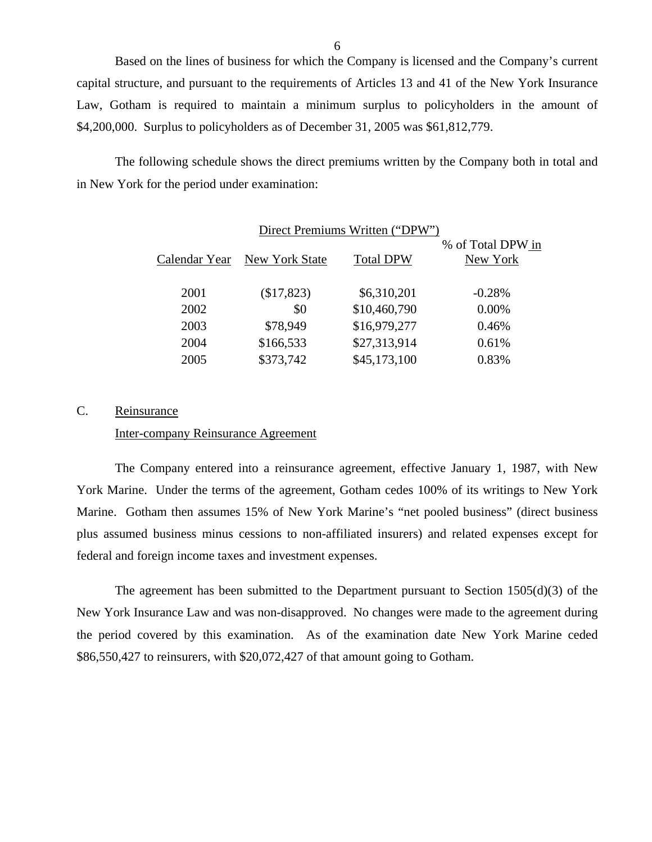Based on the lines of business for which the Company is licensed and the Company's current capital structure, and pursuant to the requirements of Articles 13 and 41 of the New York Insurance Law, Gotham is required to maintain a minimum surplus to policyholders in the amount of \$4,200,000. Surplus to policyholders as of December 31, 2005 was \$61,812,779.

The following schedule shows the direct premiums written by the Company both in total and in New York for the period under examination:

| Direct Premiums Written ("DPW") |                |                  |                               |  |  |
|---------------------------------|----------------|------------------|-------------------------------|--|--|
| Calendar Year                   | New York State | <b>Total DPW</b> | % of Total DPW in<br>New York |  |  |
| 2001                            | (\$17,823)     | \$6,310,201      | $-0.28%$                      |  |  |
| 2002                            | \$0            | \$10,460,790     | $0.00\%$                      |  |  |
| 2003                            | \$78,949       | \$16,979,277     | 0.46%                         |  |  |
| 2004                            | \$166,533      | \$27,313,914     | 0.61%                         |  |  |
| 2005                            | \$373,742      | \$45,173,100     | 0.83%                         |  |  |

### C. Reinsurance

#### Inter-company Reinsurance Agreement

The Company entered into a reinsurance agreement, effective January 1, 1987, with New York Marine. Under the terms of the agreement, Gotham cedes 100% of its writings to New York Marine. Gotham then assumes 15% of New York Marine's "net pooled business" (direct business plus assumed business minus cessions to non-affiliated insurers) and related expenses except for federal and foreign income taxes and investment expenses.

The agreement has been submitted to the Department pursuant to Section 1505(d)(3) of the New York Insurance Law and was non-disapproved. No changes were made to the agreement during the period covered by this examination. As of the examination date New York Marine ceded \$86,550,427 to reinsurers, with \$20,072,427 of that amount going to Gotham.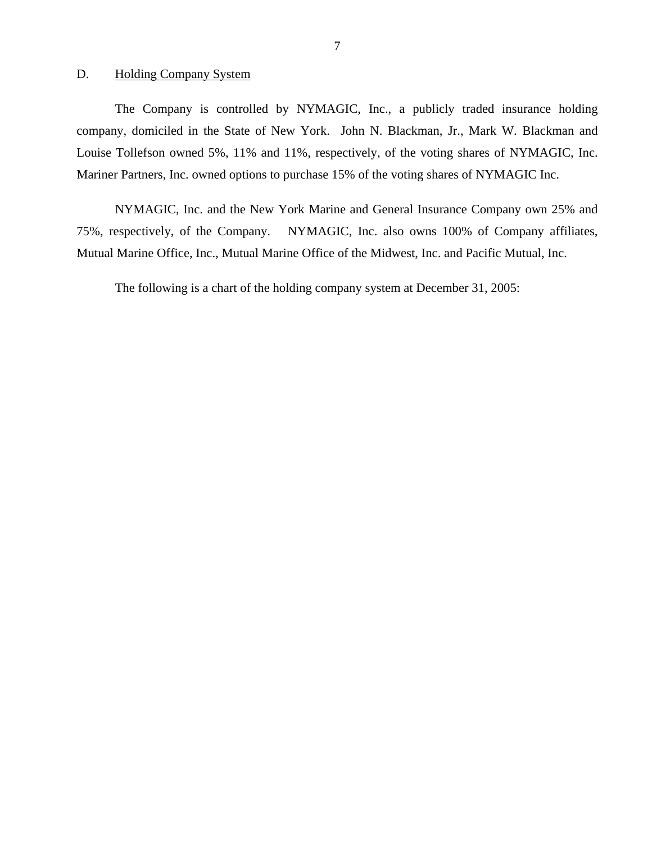#### <span id="page-8-0"></span>D. Holding Company System

The Company is controlled by NYMAGIC, Inc., a publicly traded insurance holding company, domiciled in the State of New York. John N. Blackman, Jr., Mark W. Blackman and Louise Tollefson owned 5%, 11% and 11%, respectively, of the voting shares of NYMAGIC, Inc. Mariner Partners, Inc. owned options to purchase 15% of the voting shares of NYMAGIC Inc.

NYMAGIC, Inc. and the New York Marine and General Insurance Company own 25% and 75%, respectively, of the Company. NYMAGIC, Inc. also owns 100% of Company affiliates, Mutual Marine Office, Inc., Mutual Marine Office of the Midwest, Inc. and Pacific Mutual, Inc.

The following is a chart of the holding company system at December 31, 2005: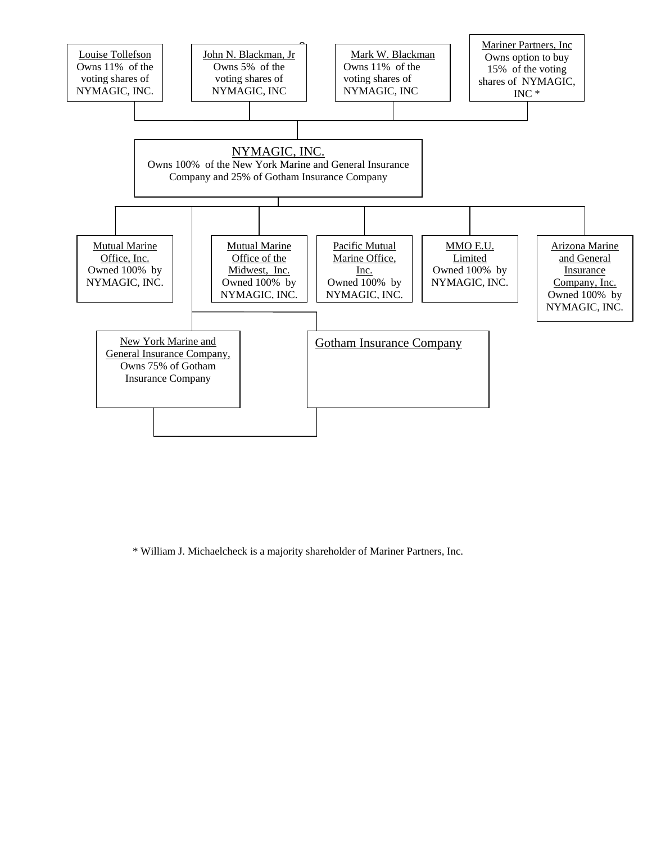

\* William J. Michaelcheck is a majority shareholder of Mariner Partners, Inc.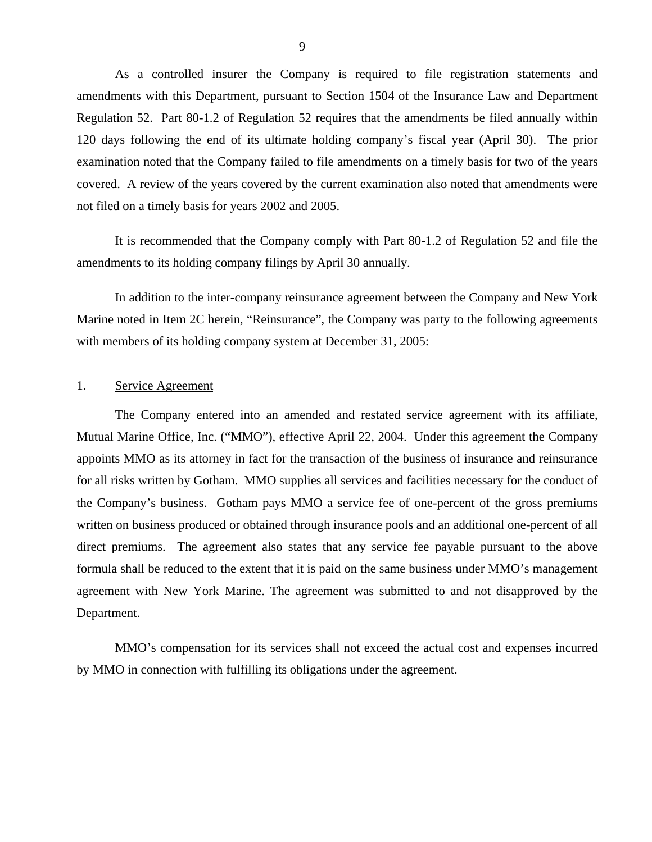As a controlled insurer the Company is required to file registration statements and amendments with this Department, pursuant to Section 1504 of the Insurance Law and Department Regulation 52. Part 80-1.2 of Regulation 52 requires that the amendments be filed annually within 120 days following the end of its ultimate holding company's fiscal year (April 30). The prior examination noted that the Company failed to file amendments on a timely basis for two of the years covered. A review of the years covered by the current examination also noted that amendments were not filed on a timely basis for years 2002 and 2005.

It is recommended that the Company comply with Part 80-1.2 of Regulation 52 and file the amendments to its holding company filings by April 30 annually.

In addition to the inter-company reinsurance agreement between the Company and New York Marine noted in Item 2C herein, "Reinsurance", the Company was party to the following agreements with members of its holding company system at December 31, 2005:

#### 1. Service Agreement

The Company entered into an amended and restated service agreement with its affiliate, Mutual Marine Office, Inc. ("MMO"), effective April 22, 2004. Under this agreement the Company appoints MMO as its attorney in fact for the transaction of the business of insurance and reinsurance for all risks written by Gotham. MMO supplies all services and facilities necessary for the conduct of the Company's business. Gotham pays MMO a service fee of one-percent of the gross premiums written on business produced or obtained through insurance pools and an additional one-percent of all direct premiums. The agreement also states that any service fee payable pursuant to the above formula shall be reduced to the extent that it is paid on the same business under MMO's management agreement with New York Marine. The agreement was submitted to and not disapproved by the Department.

MMO's compensation for its services shall not exceed the actual cost and expenses incurred by MMO in connection with fulfilling its obligations under the agreement.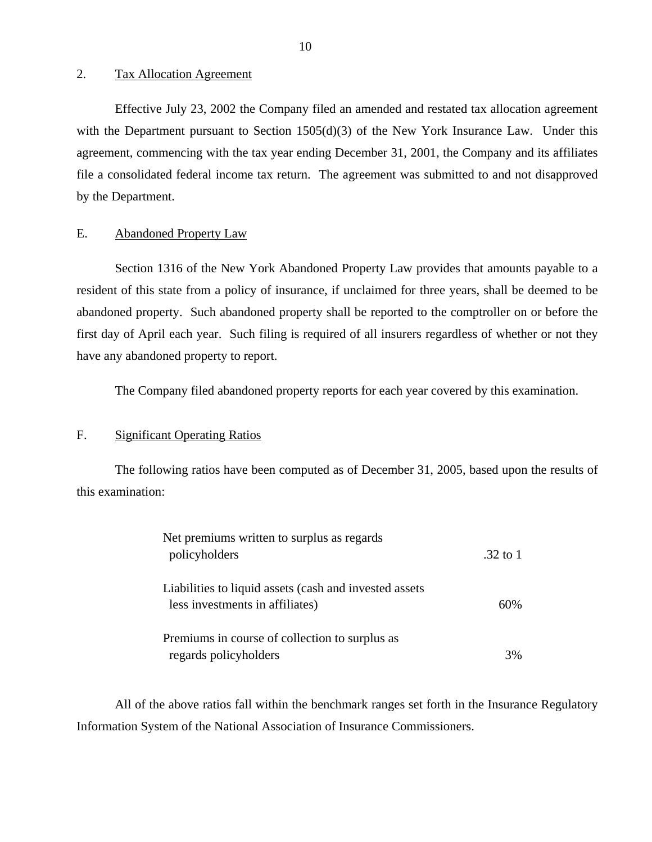2. Tax Allocation Agreement

Effective July 23, 2002 the Company filed an amended and restated tax allocation agreement with the Department pursuant to Section 1505(d)(3) of the New York Insurance Law. Under this agreement, commencing with the tax year ending December 31, 2001, the Company and its affiliates file a consolidated federal income tax return. The agreement was submitted to and not disapproved by the Department.

#### E. Abandoned Property Law

Section 1316 of the New York Abandoned Property Law provides that amounts payable to a resident of this state from a policy of insurance, if unclaimed for three years, shall be deemed to be abandoned property. Such abandoned property shall be reported to the comptroller on or before the first day of April each year. Such filing is required of all insurers regardless of whether or not they have any abandoned property to report.

The Company filed abandoned property reports for each year covered by this examination.

#### F. Significant Operating Ratios

The following ratios have been computed as of December 31, 2005, based upon the results of this examination:

| Net premiums written to surplus as regards<br>policyholders                               | $.32$ to 1 |
|-------------------------------------------------------------------------------------------|------------|
| Liabilities to liquid assets (cash and invested assets<br>less investments in affiliates) | 60%        |
| Premiums in course of collection to surplus as<br>regards policyholders                   |            |

All of the above ratios fall within the benchmark ranges set forth in the Insurance Regulatory Information System of the National Association of Insurance Commissioners.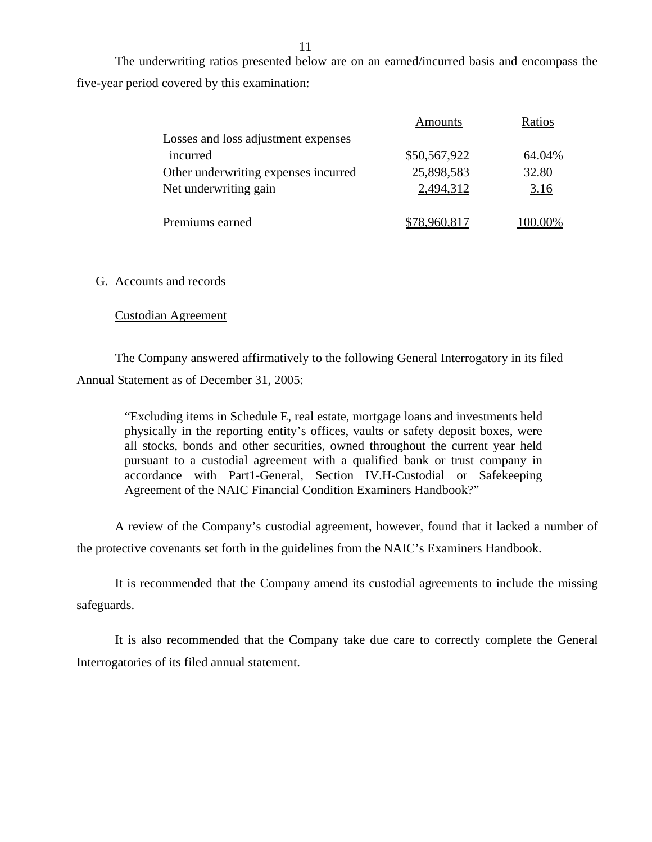The underwriting ratios presented below are on an earned/incurred basis and encompass the five-year period covered by this examination:

|                                      | Amounts      | Ratios  |
|--------------------------------------|--------------|---------|
| Losses and loss adjustment expenses  |              |         |
| incurred                             | \$50,567,922 | 64.04%  |
| Other underwriting expenses incurred | 25,898,583   | 32.80   |
| Net underwriting gain                | 2,494,312    | 3.16    |
| Premiums earned                      | \$78,960,817 | 100.00% |

### G. Accounts and records

### Custodian Agreement

The Company answered affirmatively to the following General Interrogatory in its filed Annual Statement as of December 31, 2005:

"Excluding items in Schedule E, real estate, mortgage loans and investments held physically in the reporting entity's offices, vaults or safety deposit boxes, were all stocks, bonds and other securities, owned throughout the current year held pursuant to a custodial agreement with a qualified bank or trust company in accordance with Part1-General, Section IV.H-Custodial or Safekeeping Agreement of the NAIC Financial Condition Examiners Handbook?"

A review of the Company's custodial agreement, however, found that it lacked a number of the protective covenants set forth in the guidelines from the NAIC's Examiners Handbook.

It is recommended that the Company amend its custodial agreements to include the missing safeguards.

It is also recommended that the Company take due care to correctly complete the General Interrogatories of its filed annual statement.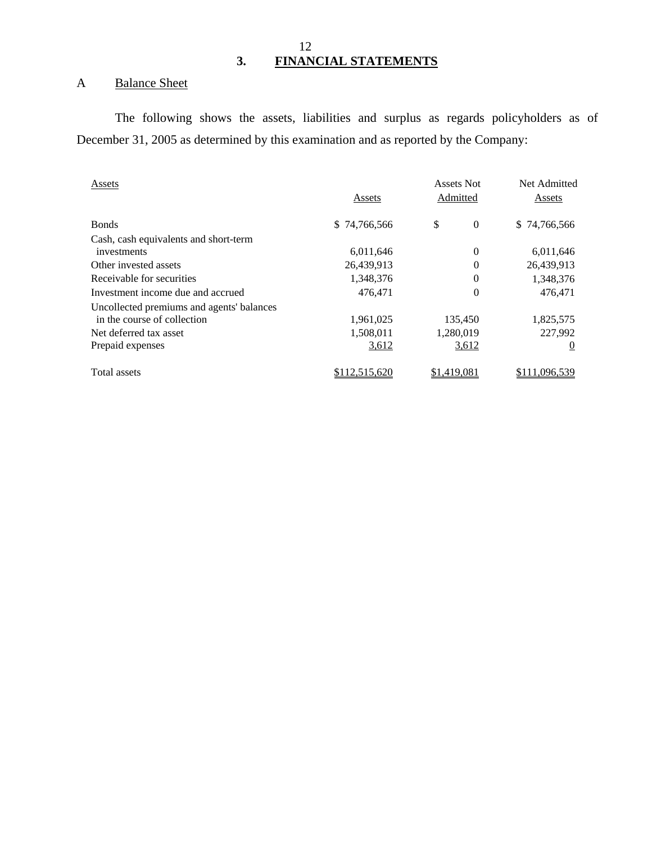## 12 **3. FINANCIAL STATEMENTS**

## A Balance Sheet

The following shows the assets, liabilities and surplus as regards policyholders as of December 31, 2005 as determined by this examination and as reported by the Company:

| Assets                                    | Assets        | Assets Not<br>Admitted | Net Admitted<br>Assets |
|-------------------------------------------|---------------|------------------------|------------------------|
| <b>Bonds</b>                              | \$74,766,566  | \$<br>$\theta$         | \$74,766,566           |
| Cash, cash equivalents and short-term     |               |                        |                        |
| investments                               | 6,011,646     | $\Omega$               | 6,011,646              |
| Other invested assets                     | 26,439,913    | $\Omega$               | 26,439,913             |
| Receivable for securities                 | 1,348,376     | 0                      | 1,348,376              |
| Investment income due and accrued         | 476,471       | 0                      | 476,471                |
| Uncollected premiums and agents' balances |               |                        |                        |
| in the course of collection               | 1,961,025     | 135,450                | 1,825,575              |
| Net deferred tax asset                    | 1,508,011     | 1,280,019              | 227,992                |
| Prepaid expenses                          | 3,612         | 3,612                  | $\overline{0}$         |
| Total assets                              | \$112,515,620 | \$1,419,081            | \$111,096,539          |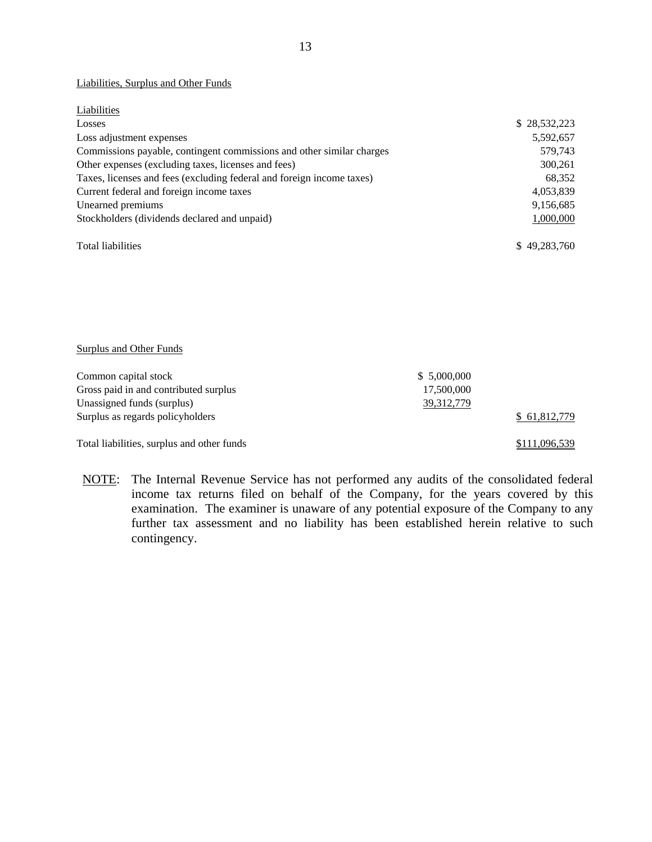#### Liabilities, Surplus and Other Funds

| Liabilities                                                           |              |
|-----------------------------------------------------------------------|--------------|
| Losses                                                                | \$28,532,223 |
| Loss adjustment expenses                                              | 5,592,657    |
| Commissions payable, contingent commissions and other similar charges | 579,743      |
| Other expenses (excluding taxes, licenses and fees)                   | 300,261      |
| Taxes, licenses and fees (excluding federal and foreign income taxes) | 68,352       |
| Current federal and foreign income taxes                              | 4,053,839    |
| Unearned premiums                                                     | 9,156,685    |
| Stockholders (dividends declared and unpaid)                          | 1,000,000    |
| <b>Total liabilities</b>                                              | \$49,283,760 |

#### Surplus and Other Funds

| Common capital stock                       | \$5,000,000  |               |
|--------------------------------------------|--------------|---------------|
| Gross paid in and contributed surplus      | 17,500,000   |               |
| Unassigned funds (surplus)                 | 39, 312, 779 |               |
| Surplus as regards policyholders           |              | \$ 61,812,779 |
| Total liabilities, surplus and other funds |              | \$111,096,539 |

NOTE: The Internal Revenue Service has not performed any audits of the consolidated federal income tax returns filed on behalf of the Company, for the years covered by this examination. The examiner is unaware of any potential exposure of the Company to any further tax assessment and no liability has been established herein relative to such contingency.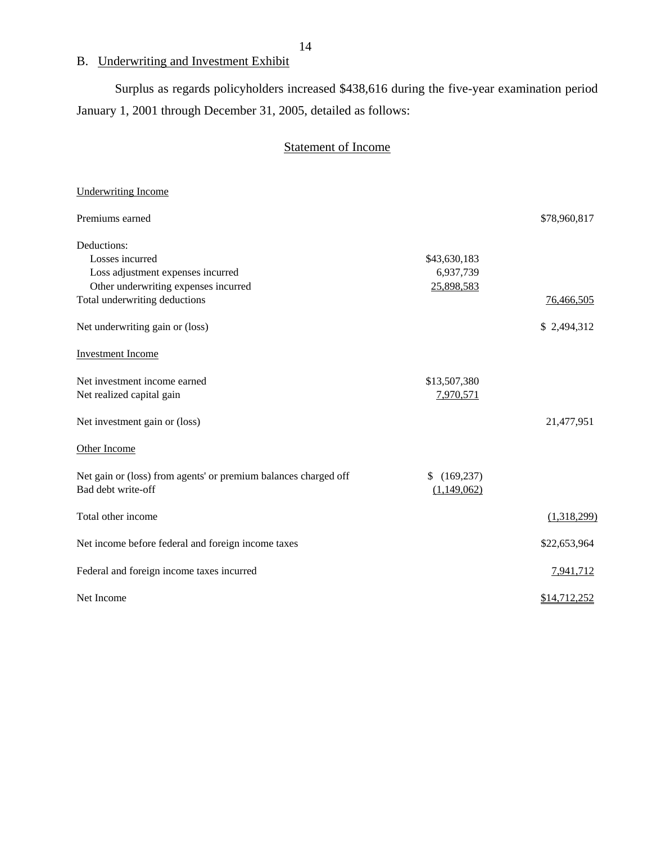## B. Underwriting and Investment Exhibit

Surplus as regards policyholders increased \$438,616 during the five-year examination period January 1, 2001 through December 31, 2005, detailed as follows:

## Statement of Income

| <b>Underwriting Income</b>                                                            |                           |              |
|---------------------------------------------------------------------------------------|---------------------------|--------------|
| Premiums earned                                                                       |                           | \$78,960,817 |
| Deductions:                                                                           |                           |              |
| Losses incurred                                                                       | \$43,630,183              |              |
| Loss adjustment expenses incurred                                                     | 6,937,739                 |              |
| Other underwriting expenses incurred                                                  | 25,898,583                |              |
| Total underwriting deductions                                                         |                           | 76,466,505   |
| Net underwriting gain or (loss)                                                       |                           | \$2,494,312  |
| <b>Investment Income</b>                                                              |                           |              |
| Net investment income earned                                                          | \$13,507,380              |              |
| Net realized capital gain                                                             | 7,970,571                 |              |
| Net investment gain or (loss)                                                         |                           | 21,477,951   |
| Other Income                                                                          |                           |              |
| Net gain or (loss) from agents' or premium balances charged off<br>Bad debt write-off | (169, 237)<br>(1,149,062) |              |
| Total other income                                                                    |                           | (1,318,299)  |
| Net income before federal and foreign income taxes                                    |                           | \$22,653,964 |
| Federal and foreign income taxes incurred                                             |                           | 7,941,712    |
| Net Income                                                                            |                           | \$14,712,252 |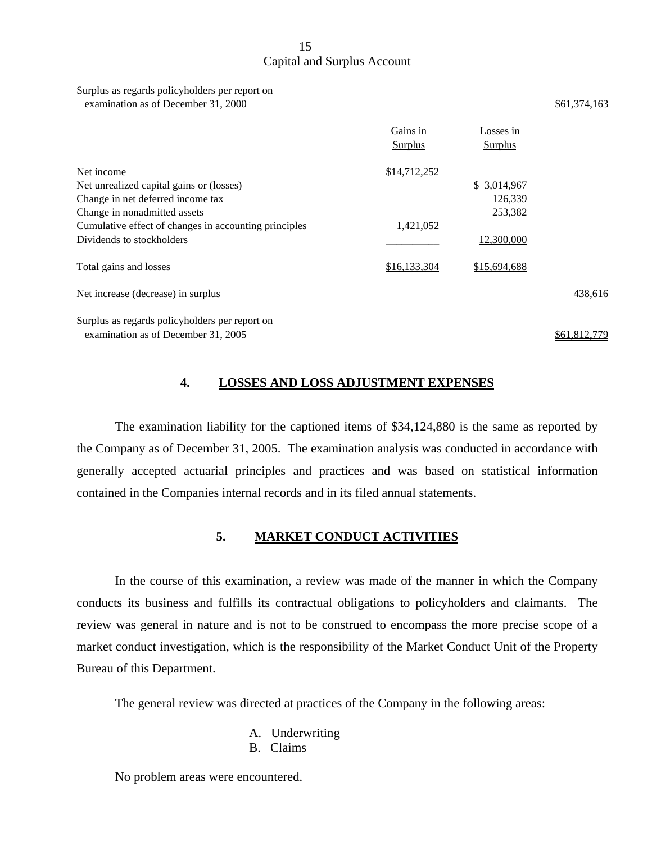#### 15 Capital and Surplus Account

#### <span id="page-16-0"></span>Surplus as regards policyholders per report on examination as of December 31, 2000 \$61,374,163

|                                                       | Gains in<br><b>Surplus</b> | Losses in<br><b>Surplus</b> |              |
|-------------------------------------------------------|----------------------------|-----------------------------|--------------|
| Net income                                            | \$14,712,252               |                             |              |
| Net unrealized capital gains or (losses)              |                            | \$ 3,014,967                |              |
| Change in net deferred income tax                     |                            | 126.339                     |              |
| Change in nonadmitted assets                          |                            | 253,382                     |              |
| Cumulative effect of changes in accounting principles | 1,421,052                  |                             |              |
| Dividends to stockholders                             |                            | 12,300,000                  |              |
| Total gains and losses                                | \$16,133,304               | \$15,694,688                |              |
| Net increase (decrease) in surplus                    |                            |                             | 438,616      |
| Surplus as regards policyholders per report on        |                            |                             |              |
| examination as of December 31, 2005                   |                            |                             | \$61,812,779 |

## **4. LOSSES AND LOSS ADJUSTMENT EXPENSES**

The examination liability for the captioned items of \$34,124,880 is the same as reported by the Company as of December 31, 2005. The examination analysis was conducted in accordance with generally accepted actuarial principles and practices and was based on statistical information contained in the Companies internal records and in its filed annual statements.

### **5. MARKET CONDUCT ACTIVITIES**

In the course of this examination, a review was made of the manner in which the Company conducts its business and fulfills its contractual obligations to policyholders and claimants. The review was general in nature and is not to be construed to encompass the more precise scope of a market conduct investigation, which is the responsibility of the Market Conduct Unit of the Property Bureau of this Department.

The general review was directed at practices of the Company in the following areas:

- A. Underwriting
- B. Claims

No problem areas were encountered.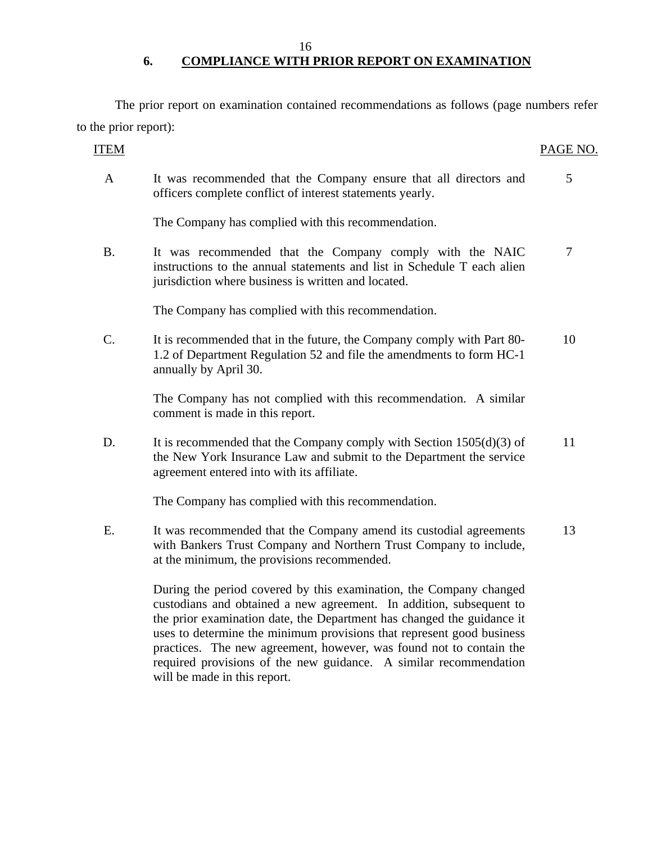# **6. COMPLIANCE WITH PRIOR REPORT ON EXAMINATION**

<span id="page-17-0"></span>The prior report on examination contained recommendations as follows (page numbers refer to the prior report):

## ITEM PAGE NO.

A It was recommended that the Company ensure that all directors and 5 officers complete conflict of interest statements yearly.

The Company has complied with this recommendation.

B. It was recommended that the Company comply with the NAIC 7 instructions to the annual statements and list in Schedule T each alien jurisdiction where business is written and located.

The Company has complied with this recommendation.

C. It is recommended that in the future, the Company comply with Part 80- 10 1.2 of Department Regulation 52 and file the amendments to form HC-1 annually by April 30.

> The Company has not complied with this recommendation. A similar comment is made in this report.

D. It is recommended that the Company comply with Section  $1505(d)(3)$  of 11 the New York Insurance Law and submit to the Department the service agreement entered into with its affiliate.

The Company has complied with this recommendation.

E. It was recommended that the Company amend its custodial agreements 13 with Bankers Trust Company and Northern Trust Company to include, at the minimum, the provisions recommended.

> During the period covered by this examination, the Company changed custodians and obtained a new agreement. In addition, subsequent to the prior examination date, the Department has changed the guidance it uses to determine the minimum provisions that represent good business practices. The new agreement, however, was found not to contain the required provisions of the new guidance. A similar recommendation will be made in this report.

16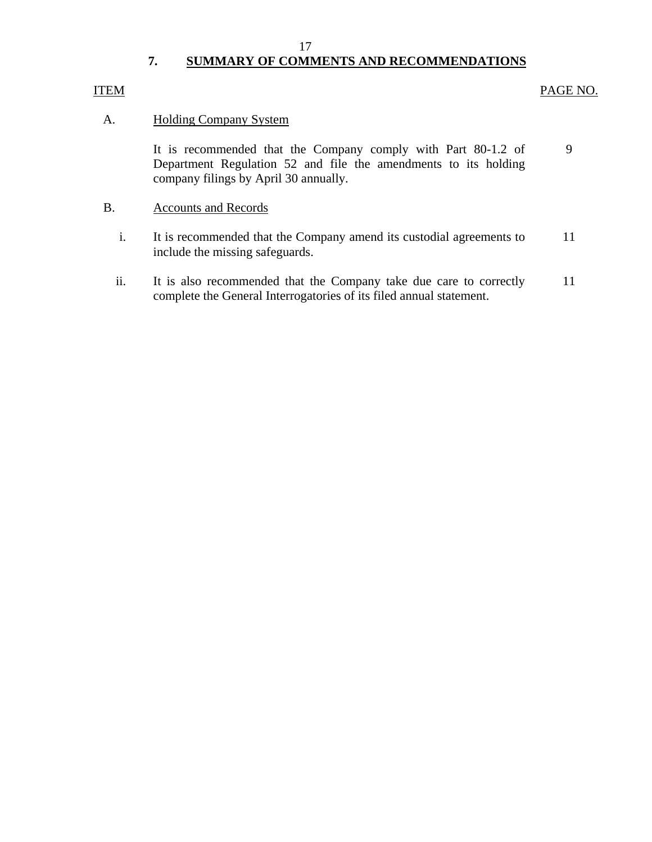#### 17

## **7. SUMMARY OF COMMENTS AND RECOMMENDATIONS**

## ITEM PAGE NO.

#### A. **Holding Company System**

9 It is recommended that the Company comply with Part 80-1.2 of Department Regulation 52 and file the amendments to its holding company filings by April 30 annually.

## B. Accounts and Records

- i. It is recommended that the Company amend its custodial agreements to 11 include the missing safeguards.
- ii. It is also recommended that the Company take due care to correctly 11 complete the General Interrogatories of its filed annual statement.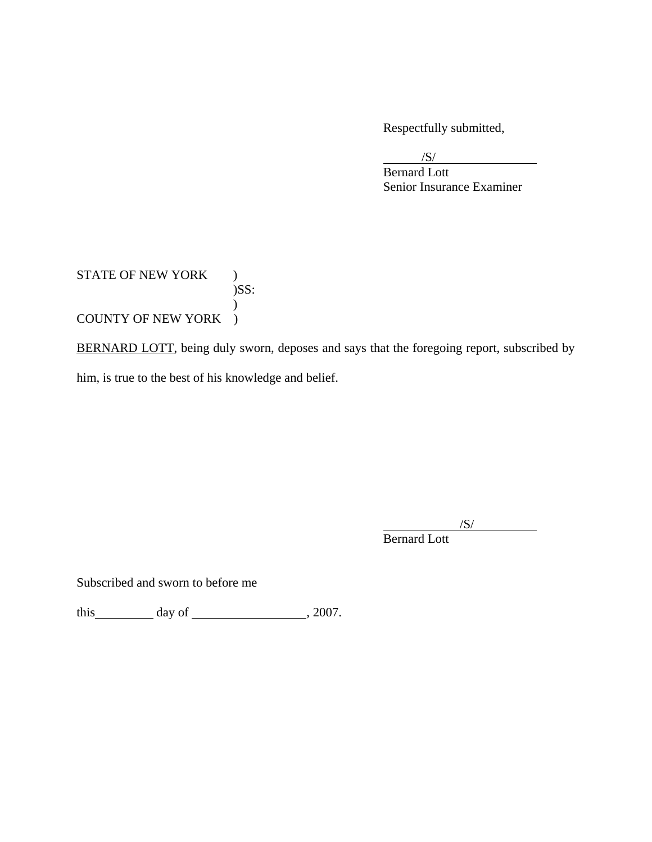Respectfully submitted,

 $\overline{\phantom{a}}$ /S/

 Bernard Lott Senior Insurance Examiner

## STATE OF NEW YORK )  $)$ SS:  $\mathcal{L}$ COUNTY OF NEW YORK )

BERNARD LOTT, being duly sworn, deposes and says that the foregoing report, subscribed by him, is true to the best of his knowledge and belief.

/S/

Bernard Lott

Subscribed and sworn to before me

this  $\_\_\_\_$  day of  $\_\_\_\_\_\_$ , 2007.